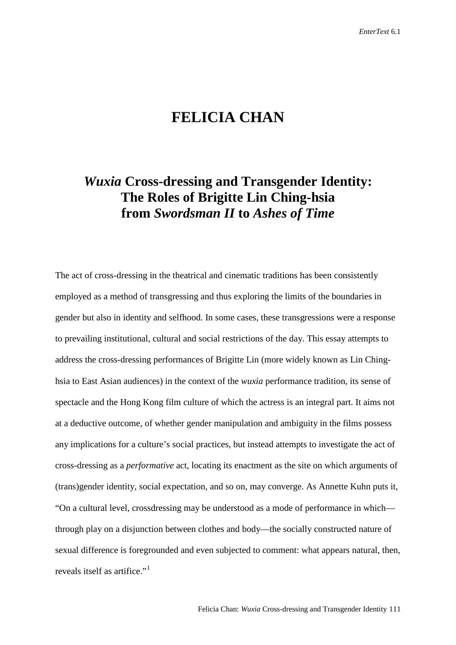## **FELICIA CHAN**

## *Wuxia* **Cross-dressing and Transgender Identity: The Roles of Brigitte Lin Ching-hsia from** *Swordsman II* **to** *Ashes of Time*

The act of cross-dressing in the theatrical and cinematic traditions has been consistently employed as a method of transgressing and thus exploring the limits of the boundaries in gender but also in identity and selfhood. In some cases, these transgressions were a response to prevailing institutional, cultural and social restrictions of the day. This essay attempts to address the cross-dressing performances of Brigitte Lin (more widely known as Lin Chinghsia to East Asian audiences) in the context of the *wuxia* performance tradition, its sense of spectacle and the Hong Kong film culture of which the actress is an integral part. It aims not at a deductive outcome, of whether gender manipulation and ambiguity in the films possess any implications for a culture's social practices, but instead attempts to investigate the act of cross-dressing as a *performative* act, locating its enactment as the site on which arguments of (trans)gender identity, social expectation, and so on, may converge. As Annette Kuhn puts it, "On a cultural level, crossdressing may be understood as a mode of performance in which through play on a disjunction between clothes and body—the socially constructed nature of sexual difference is foregrounded and even subjected to comment: what appears natural, then, reveals itself as artifice."<sup>[1](#page-18-0)</sup>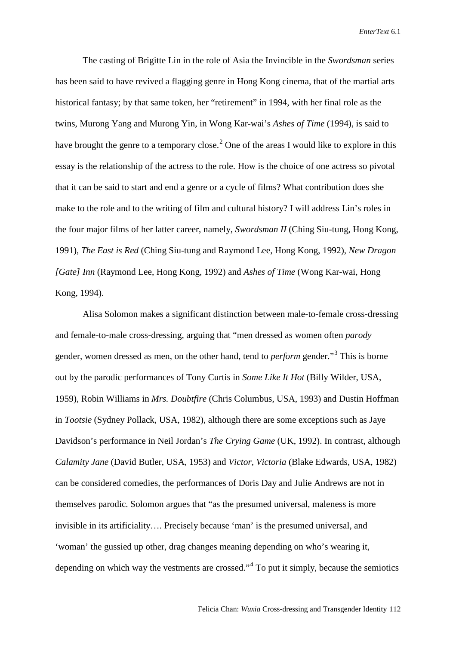The casting of Brigitte Lin in the role of Asia the Invincible in the *Swordsman* series has been said to have revived a flagging genre in Hong Kong cinema, that of the martial arts historical fantasy; by that same token, her "retirement" in 1994, with her final role as the twins, Murong Yang and Murong Yin, in Wong Kar-wai's *Ashes of Time* (1994), is said to have brought the genre to a temporary close.<sup>[2](#page-19-0)</sup> One of the areas I would like to explore in this essay is the relationship of the actress to the role. How is the choice of one actress so pivotal that it can be said to start and end a genre or a cycle of films? What contribution does she make to the role and to the writing of film and cultural history? I will address Lin's roles in the four major films of her latter career, namely, *Swordsman II* (Ching Siu-tung, Hong Kong, 1991), *The East is Red* (Ching Siu-tung and Raymond Lee, Hong Kong, 1992), *New Dragon [Gate] Inn* (Raymond Lee, Hong Kong, 1992) and *Ashes of Time* (Wong Kar-wai, Hong Kong, 1994).

Alisa Solomon makes a significant distinction between male-to-female cross-dressing and female-to-male cross-dressing, arguing that "men dressed as women often *parody* gender, women dressed as men, on the other hand, tend to *perform* gender."[3](#page-19-1) This is borne out by the parodic performances of Tony Curtis in *Some Like It Hot* (Billy Wilder, USA, 1959), Robin Williams in *Mrs. Doubtfire* (Chris Columbus, USA, 1993) and Dustin Hoffman in *Tootsie* (Sydney Pollack, USA, 1982), although there are some exceptions such as Jaye Davidson's performance in Neil Jordan's *The Crying Game* (UK, 1992). In contrast, although *Calamity Jane* (David Butler, USA, 1953) and *Victor, Victoria* (Blake Edwards, USA, 1982) can be considered comedies, the performances of Doris Day and Julie Andrews are not in themselves parodic. Solomon argues that "as the presumed universal, maleness is more invisible in its artificiality…. Precisely because 'man' is the presumed universal, and 'woman' the gussied up other, drag changes meaning depending on who's wearing it, depending on which way the vestments are crossed."[4](#page-19-2) To put it simply, because the semiotics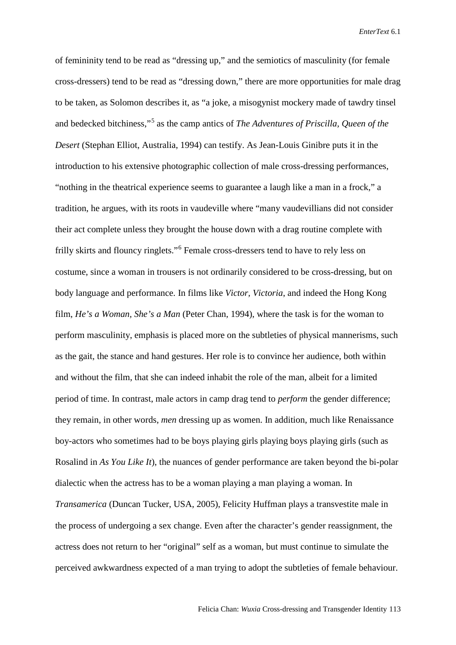of femininity tend to be read as "dressing up," and the semiotics of masculinity (for female cross-dressers) tend to be read as "dressing down," there are more opportunities for male drag to be taken, as Solomon describes it, as "a joke, a misogynist mockery made of tawdry tinsel and bedecked bitchiness,"<sup>[5](#page-20-0)</sup> as the camp antics of *The Adventures of Priscilla, Queen of the Desert* (Stephan Elliot, Australia, 1994) can testify. As Jean-Louis Ginibre puts it in the introduction to his extensive photographic collection of male cross-dressing performances, "nothing in the theatrical experience seems to guarantee a laugh like a man in a frock," a tradition, he argues, with its roots in vaudeville where "many vaudevillians did not consider their act complete unless they brought the house down with a drag routine complete with frilly skirts and flouncy ringlets."[6](#page-20-1) Female cross-dressers tend to have to rely less on costume, since a woman in trousers is not ordinarily considered to be cross-dressing, but on body language and performance. In films like *Victor, Victoria*, and indeed the Hong Kong film, *He's a Woman, She's a Man* (Peter Chan, 1994), where the task is for the woman to perform masculinity, emphasis is placed more on the subtleties of physical mannerisms, such as the gait, the stance and hand gestures. Her role is to convince her audience, both within and without the film, that she can indeed inhabit the role of the man, albeit for a limited period of time. In contrast, male actors in camp drag tend to *perform* the gender difference; they remain, in other words, *men* dressing up as women. In addition, much like Renaissance boy-actors who sometimes had to be boys playing girls playing boys playing girls (such as Rosalind in *As You Like It*), the nuances of gender performance are taken beyond the bi-polar dialectic when the actress has to be a woman playing a man playing a woman. In *Transamerica* (Duncan Tucker, USA, 2005), Felicity Huffman plays a transvestite male in the process of undergoing a sex change. Even after the character's gender reassignment, the actress does not return to her "original" self as a woman, but must continue to simulate the perceived awkwardness expected of a man trying to adopt the subtleties of female behaviour.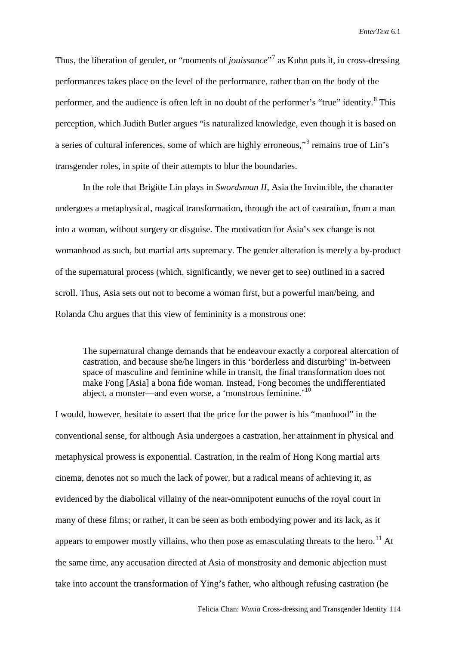Thus, the liberation of gender, or "moments of *jouissance*"[7](#page-20-2) as Kuhn puts it, in cross-dressing performances takes place on the level of the performance, rather than on the body of the performer, and the audience is often left in no doubt of the performer's "true" identity. <sup>[8](#page-20-3)</sup> This perception, which Judith Butler argues "is naturalized knowledge, even though it is based on a series of cultural inferences, some of which are highly erroneous,"[9](#page-20-4) remains true of Lin's transgender roles, in spite of their attempts to blur the boundaries.

In the role that Brigitte Lin plays in *Swordsman II*, Asia the Invincible, the character undergoes a metaphysical, magical transformation, through the act of castration, from a man into a woman, without surgery or disguise. The motivation for Asia's sex change is not womanhood as such, but martial arts supremacy. The gender alteration is merely a by-product of the supernatural process (which, significantly, we never get to see) outlined in a sacred scroll. Thus, Asia sets out not to become a woman first, but a powerful man/being, and Rolanda Chu argues that this view of femininity is a monstrous one:

The supernatural change demands that he endeavour exactly a corporeal altercation of castration, and because she/he lingers in this 'borderless and disturbing' in-between space of masculine and feminine while in transit, the final transformation does not make Fong [Asia] a bona fide woman. Instead, Fong becomes the undifferentiated abject, a monster—and even worse, a 'monstrous feminine.'<sup>[10](#page-20-5)</sup>

I would, however, hesitate to assert that the price for the power is his "manhood" in the conventional sense, for although Asia undergoes a castration, her attainment in physical and metaphysical prowess is exponential. Castration, in the realm of Hong Kong martial arts cinema, denotes not so much the lack of power, but a radical means of achieving it, as evidenced by the diabolical villainy of the near-omnipotent eunuchs of the royal court in many of these films; or rather, it can be seen as both embodying power and its lack, as it appears to empower mostly villains, who then pose as emasculating threats to the hero.<sup>[11](#page-20-6)</sup> At the same time, any accusation directed at Asia of monstrosity and demonic abjection must take into account the transformation of Ying's father, who although refusing castration (he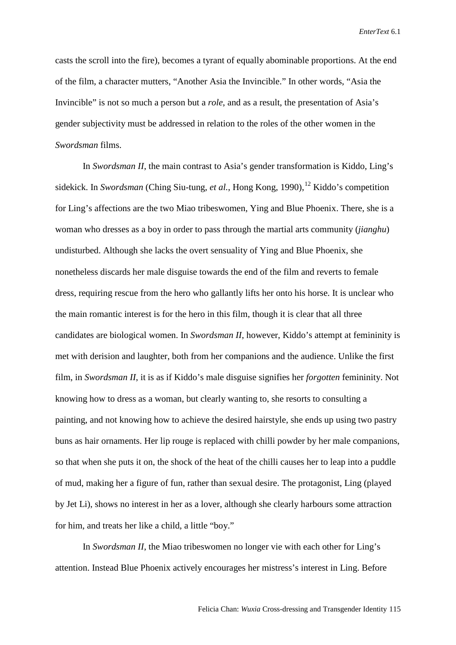casts the scroll into the fire), becomes a tyrant of equally abominable proportions. At the end of the film, a character mutters, "Another Asia the Invincible." In other words, "Asia the Invincible" is not so much a person but a *role*, and as a result, the presentation of Asia's gender subjectivity must be addressed in relation to the roles of the other women in the *Swordsman* films.

In *Swordsman II*, the main contrast to Asia's gender transformation is Kiddo, Ling's sidekick. In *Swordsman* (Ching Siu-tung, *et al.*, Hong Kong, 1990), <sup>[12](#page-20-7)</sup> Kiddo's competition for Ling's affections are the two Miao tribeswomen, Ying and Blue Phoenix. There, she is a woman who dresses as a boy in order to pass through the martial arts community (*jianghu*) undisturbed. Although she lacks the overt sensuality of Ying and Blue Phoenix, she nonetheless discards her male disguise towards the end of the film and reverts to female dress, requiring rescue from the hero who gallantly lifts her onto his horse. It is unclear who the main romantic interest is for the hero in this film, though it is clear that all three candidates are biological women. In *Swordsman II*, however, Kiddo's attempt at femininity is met with derision and laughter, both from her companions and the audience. Unlike the first film, in *Swordsman II*, it is as if Kiddo's male disguise signifies her *forgotten* femininity. Not knowing how to dress as a woman, but clearly wanting to, she resorts to consulting a painting, and not knowing how to achieve the desired hairstyle, she ends up using two pastry buns as hair ornaments. Her lip rouge is replaced with chilli powder by her male companions, so that when she puts it on, the shock of the heat of the chilli causes her to leap into a puddle of mud, making her a figure of fun, rather than sexual desire. The protagonist, Ling (played by Jet Li), shows no interest in her as a lover, although she clearly harbours some attraction for him, and treats her like a child, a little "boy."

In *Swordsman II*, the Miao tribeswomen no longer vie with each other for Ling's attention. Instead Blue Phoenix actively encourages her mistress's interest in Ling. Before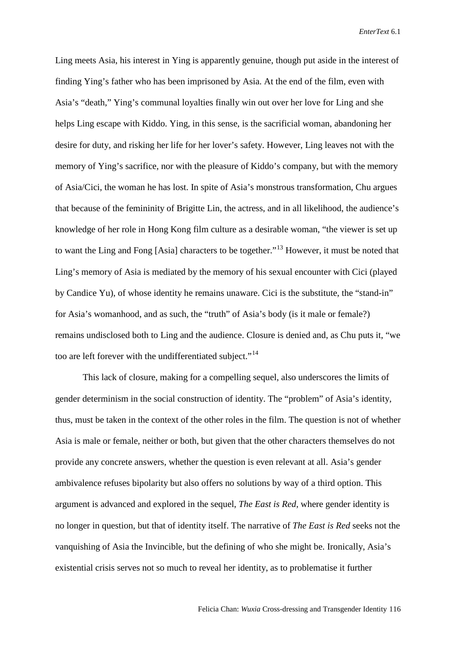Ling meets Asia, his interest in Ying is apparently genuine, though put aside in the interest of finding Ying's father who has been imprisoned by Asia. At the end of the film, even with Asia's "death," Ying's communal loyalties finally win out over her love for Ling and she helps Ling escape with Kiddo. Ying, in this sense, is the sacrificial woman, abandoning her desire for duty, and risking her life for her lover's safety. However, Ling leaves not with the memory of Ying's sacrifice, nor with the pleasure of Kiddo's company, but with the memory of Asia/Cici, the woman he has lost. In spite of Asia's monstrous transformation, Chu argues that because of the femininity of Brigitte Lin, the actress, and in all likelihood, the audience's knowledge of her role in Hong Kong film culture as a desirable woman, "the viewer is set up to want the Ling and Fong [Asia] characters to be together."[13](#page-20-8) However, it must be noted that Ling's memory of Asia is mediated by the memory of his sexual encounter with Cici (played by Candice Yu), of whose identity he remains unaware. Cici is the substitute, the "stand-in" for Asia's womanhood, and as such, the "truth" of Asia's body (is it male or female?) remains undisclosed both to Ling and the audience. Closure is denied and, as Chu puts it, "we too are left forever with the undifferentiated subject."<sup>[14](#page-20-9)</sup>

This lack of closure, making for a compelling sequel, also underscores the limits of gender determinism in the social construction of identity. The "problem" of Asia's identity, thus, must be taken in the context of the other roles in the film. The question is not of whether Asia is male or female, neither or both, but given that the other characters themselves do not provide any concrete answers, whether the question is even relevant at all. Asia's gender ambivalence refuses bipolarity but also offers no solutions by way of a third option. This argument is advanced and explored in the sequel, *The East is Red*, where gender identity is no longer in question, but that of identity itself. The narrative of *The East is Red* seeks not the vanquishing of Asia the Invincible, but the defining of who she might be. Ironically, Asia's existential crisis serves not so much to reveal her identity, as to problematise it further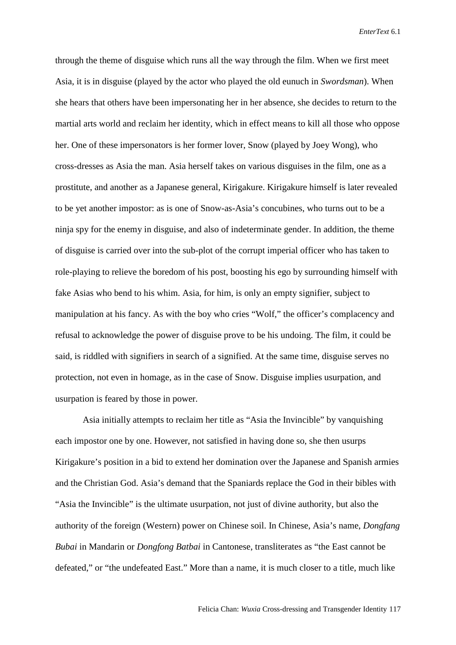through the theme of disguise which runs all the way through the film. When we first meet Asia, it is in disguise (played by the actor who played the old eunuch in *Swordsman*). When she hears that others have been impersonating her in her absence, she decides to return to the martial arts world and reclaim her identity, which in effect means to kill all those who oppose her. One of these impersonators is her former lover, Snow (played by Joey Wong), who cross-dresses as Asia the man. Asia herself takes on various disguises in the film, one as a prostitute, and another as a Japanese general, Kirigakure. Kirigakure himself is later revealed to be yet another impostor: as is one of Snow-as-Asia's concubines, who turns out to be a ninja spy for the enemy in disguise, and also of indeterminate gender. In addition, the theme of disguise is carried over into the sub-plot of the corrupt imperial officer who has taken to role-playing to relieve the boredom of his post, boosting his ego by surrounding himself with fake Asias who bend to his whim. Asia, for him, is only an empty signifier, subject to manipulation at his fancy. As with the boy who cries "Wolf," the officer's complacency and refusal to acknowledge the power of disguise prove to be his undoing. The film, it could be said, is riddled with signifiers in search of a signified. At the same time, disguise serves no protection, not even in homage, as in the case of Snow. Disguise implies usurpation, and usurpation is feared by those in power.

Asia initially attempts to reclaim her title as "Asia the Invincible" by vanquishing each impostor one by one. However, not satisfied in having done so, she then usurps Kirigakure's position in a bid to extend her domination over the Japanese and Spanish armies and the Christian God. Asia's demand that the Spaniards replace the God in their bibles with "Asia the Invincible" is the ultimate usurpation, not just of divine authority, but also the authority of the foreign (Western) power on Chinese soil. In Chinese, Asia's name, *Dongfang Bubai* in Mandarin or *Dongfong Batbai* in Cantonese, transliterates as "the East cannot be defeated," or "the undefeated East." More than a name, it is much closer to a title, much like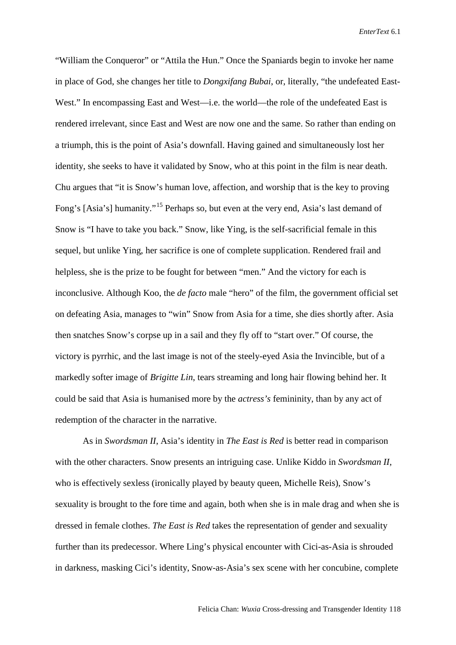"William the Conqueror" or "Attila the Hun." Once the Spaniards begin to invoke her name in place of God, she changes her title to *Dongxifang Bubai*, or, literally, "the undefeated East-West." In encompassing East and West—i.e. the world—the role of the undefeated East is rendered irrelevant, since East and West are now one and the same. So rather than ending on a triumph, this is the point of Asia's downfall. Having gained and simultaneously lost her identity, she seeks to have it validated by Snow, who at this point in the film is near death. Chu argues that "it is Snow's human love, affection, and worship that is the key to proving Fong's [Asia's] humanity."<sup>[15](#page-20-10)</sup> Perhaps so, but even at the very end, Asia's last demand of Snow is "I have to take you back." Snow, like Ying, is the self-sacrificial female in this sequel, but unlike Ying, her sacrifice is one of complete supplication. Rendered frail and helpless, she is the prize to be fought for between "men." And the victory for each is inconclusive. Although Koo, the *de facto* male "hero" of the film, the government official set on defeating Asia, manages to "win" Snow from Asia for a time, she dies shortly after. Asia then snatches Snow's corpse up in a sail and they fly off to "start over." Of course, the victory is pyrrhic, and the last image is not of the steely-eyed Asia the Invincible, but of a markedly softer image of *Brigitte Lin*, tears streaming and long hair flowing behind her. It could be said that Asia is humanised more by the *actress's* femininity, than by any act of redemption of the character in the narrative.

As in *Swordsman II*, Asia's identity in *The East is Red* is better read in comparison with the other characters. Snow presents an intriguing case. Unlike Kiddo in *Swordsman II*, who is effectively sexless (ironically played by beauty queen, Michelle Reis), Snow's sexuality is brought to the fore time and again, both when she is in male drag and when she is dressed in female clothes. *The East is Red* takes the representation of gender and sexuality further than its predecessor. Where Ling's physical encounter with Cici-as-Asia is shrouded in darkness, masking Cici's identity, Snow-as-Asia's sex scene with her concubine, complete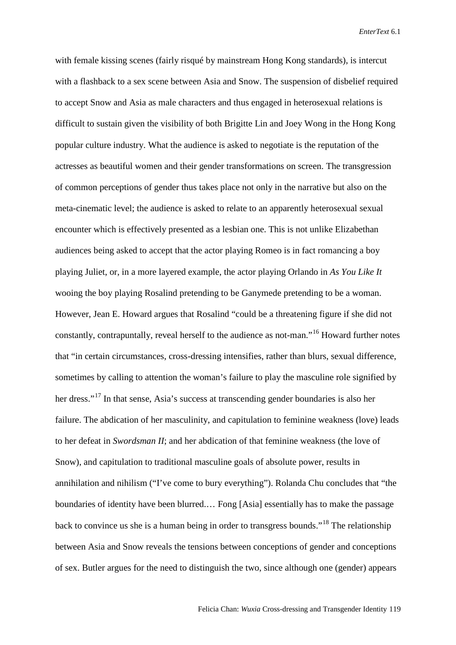with female kissing scenes (fairly risqué by mainstream Hong Kong standards), is intercut with a flashback to a sex scene between Asia and Snow. The suspension of disbelief required to accept Snow and Asia as male characters and thus engaged in heterosexual relations is difficult to sustain given the visibility of both Brigitte Lin and Joey Wong in the Hong Kong popular culture industry. What the audience is asked to negotiate is the reputation of the actresses as beautiful women and their gender transformations on screen. The transgression of common perceptions of gender thus takes place not only in the narrative but also on the meta-cinematic level; the audience is asked to relate to an apparently heterosexual sexual encounter which is effectively presented as a lesbian one. This is not unlike Elizabethan audiences being asked to accept that the actor playing Romeo is in fact romancing a boy playing Juliet, or, in a more layered example, the actor playing Orlando in *As You Like It*  wooing the boy playing Rosalind pretending to be Ganymede pretending to be a woman. However, Jean E. Howard argues that Rosalind "could be a threatening figure if she did not constantly, contrapuntally, reveal herself to the audience as not-man."[16](#page-20-11) Howard further notes that "in certain circumstances, cross-dressing intensifies, rather than blurs, sexual difference, sometimes by calling to attention the woman's failure to play the masculine role signified by her dress."<sup>[17](#page-20-12)</sup> In that sense, Asia's success at transcending gender boundaries is also her failure. The abdication of her masculinity, and capitulation to feminine weakness (love) leads to her defeat in *Swordsman II*; and her abdication of that feminine weakness (the love of Snow), and capitulation to traditional masculine goals of absolute power, results in annihilation and nihilism ("I've come to bury everything"). Rolanda Chu concludes that "the boundaries of identity have been blurred.… Fong [Asia] essentially has to make the passage back to convince us she is a human being in order to transgress bounds."[18](#page-20-13) The relationship between Asia and Snow reveals the tensions between conceptions of gender and conceptions of sex. Butler argues for the need to distinguish the two, since although one (gender) appears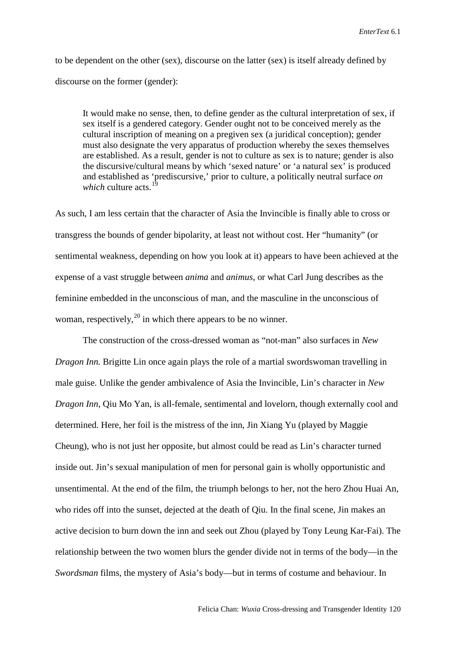to be dependent on the other (sex), discourse on the latter (sex) is itself already defined by discourse on the former (gender):

It would make no sense, then, to define gender as the cultural interpretation of sex, if sex itself is a gendered category. Gender ought not to be conceived merely as the cultural inscription of meaning on a pregiven sex (a juridical conception); gender must also designate the very apparatus of production whereby the sexes themselves are established. As a result, gender is not to culture as sex is to nature; gender is also the discursive/cultural means by which 'sexed nature' or 'a natural sex' is produced and established as 'prediscursive,' prior to culture, a politically neutral surface *on which* culture acts.<sup>1</sup>

As such, I am less certain that the character of Asia the Invincible is finally able to cross or transgress the bounds of gender bipolarity, at least not without cost. Her "humanity" (or sentimental weakness, depending on how you look at it) appears to have been achieved at the expense of a vast struggle between *anima* and *animus*, or what Carl Jung describes as the feminine embedded in the unconscious of man, and the masculine in the unconscious of woman, respectively,  $^{20}$  $^{20}$  $^{20}$  in which there appears to be no winner.

The construction of the cross-dressed woman as "not-man" also surfaces in *New Dragon Inn.* Brigitte Lin once again plays the role of a martial swordswoman travelling in male guise. Unlike the gender ambivalence of Asia the Invincible, Lin's character in *New Dragon Inn*, Qiu Mo Yan, is all-female, sentimental and lovelorn, though externally cool and determined. Here, her foil is the mistress of the inn, Jin Xiang Yu (played by Maggie Cheung), who is not just her opposite, but almost could be read as Lin's character turned inside out. Jin's sexual manipulation of men for personal gain is wholly opportunistic and unsentimental. At the end of the film, the triumph belongs to her, not the hero Zhou Huai An, who rides off into the sunset, dejected at the death of Qiu. In the final scene, Jin makes an active decision to burn down the inn and seek out Zhou (played by Tony Leung Kar-Fai). The relationship between the two women blurs the gender divide not in terms of the body—in the *Swordsman* films, the mystery of Asia's body—but in terms of costume and behaviour. In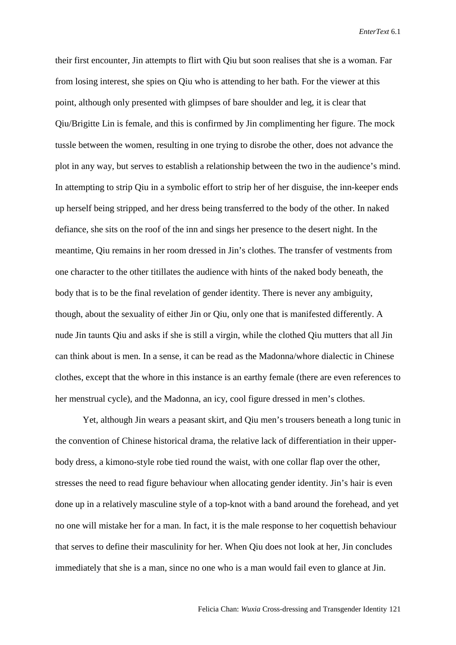their first encounter, Jin attempts to flirt with Qiu but soon realises that she is a woman. Far from losing interest, she spies on Qiu who is attending to her bath. For the viewer at this point, although only presented with glimpses of bare shoulder and leg, it is clear that Qiu/Brigitte Lin is female, and this is confirmed by Jin complimenting her figure. The mock tussle between the women, resulting in one trying to disrobe the other, does not advance the plot in any way, but serves to establish a relationship between the two in the audience's mind. In attempting to strip Qiu in a symbolic effort to strip her of her disguise, the inn-keeper ends up herself being stripped, and her dress being transferred to the body of the other. In naked defiance, she sits on the roof of the inn and sings her presence to the desert night. In the meantime, Qiu remains in her room dressed in Jin's clothes. The transfer of vestments from one character to the other titillates the audience with hints of the naked body beneath, the body that is to be the final revelation of gender identity. There is never any ambiguity, though, about the sexuality of either Jin or Qiu, only one that is manifested differently. A nude Jin taunts Qiu and asks if she is still a virgin, while the clothed Qiu mutters that all Jin can think about is men. In a sense, it can be read as the Madonna/whore dialectic in Chinese clothes, except that the whore in this instance is an earthy female (there are even references to her menstrual cycle), and the Madonna, an icy, cool figure dressed in men's clothes.

Yet, although Jin wears a peasant skirt, and Qiu men's trousers beneath a long tunic in the convention of Chinese historical drama, the relative lack of differentiation in their upperbody dress, a kimono-style robe tied round the waist, with one collar flap over the other, stresses the need to read figure behaviour when allocating gender identity. Jin's hair is even done up in a relatively masculine style of a top-knot with a band around the forehead, and yet no one will mistake her for a man. In fact, it is the male response to her coquettish behaviour that serves to define their masculinity for her. When Qiu does not look at her, Jin concludes immediately that she is a man, since no one who is a man would fail even to glance at Jin.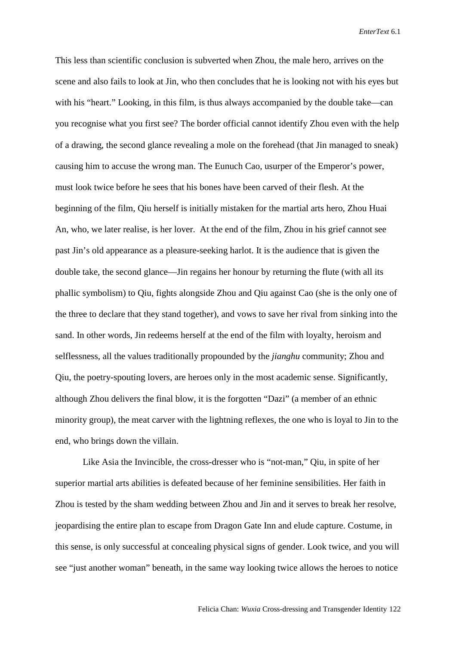This less than scientific conclusion is subverted when Zhou, the male hero, arrives on the scene and also fails to look at Jin, who then concludes that he is looking not with his eyes but with his "heart." Looking, in this film, is thus always accompanied by the double take—can you recognise what you first see? The border official cannot identify Zhou even with the help of a drawing, the second glance revealing a mole on the forehead (that Jin managed to sneak) causing him to accuse the wrong man. The Eunuch Cao, usurper of the Emperor's power, must look twice before he sees that his bones have been carved of their flesh. At the beginning of the film, Qiu herself is initially mistaken for the martial arts hero, Zhou Huai An, who, we later realise, is her lover. At the end of the film, Zhou in his grief cannot see past Jin's old appearance as a pleasure-seeking harlot. It is the audience that is given the double take, the second glance—Jin regains her honour by returning the flute (with all its phallic symbolism) to Qiu, fights alongside Zhou and Qiu against Cao (she is the only one of the three to declare that they stand together), and vows to save her rival from sinking into the sand. In other words, Jin redeems herself at the end of the film with loyalty, heroism and selflessness, all the values traditionally propounded by the *jianghu* community; Zhou and Qiu, the poetry-spouting lovers, are heroes only in the most academic sense. Significantly, although Zhou delivers the final blow, it is the forgotten "Dazi" (a member of an ethnic minority group), the meat carver with the lightning reflexes, the one who is loyal to Jin to the end, who brings down the villain.

Like Asia the Invincible, the cross-dresser who is "not-man," Qiu, in spite of her superior martial arts abilities is defeated because of her feminine sensibilities. Her faith in Zhou is tested by the sham wedding between Zhou and Jin and it serves to break her resolve, jeopardising the entire plan to escape from Dragon Gate Inn and elude capture. Costume, in this sense, is only successful at concealing physical signs of gender. Look twice, and you will see "just another woman" beneath, in the same way looking twice allows the heroes to notice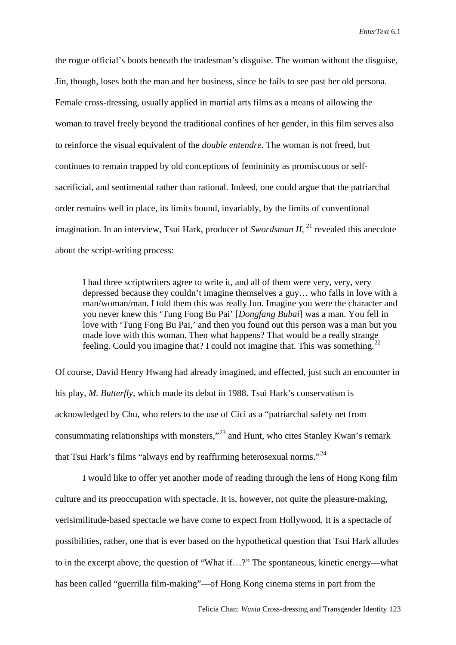the rogue official's boots beneath the tradesman's disguise. The woman without the disguise, Jin, though, loses both the man and her business, since he fails to see past her old persona. Female cross-dressing, usually applied in martial arts films as a means of allowing the woman to travel freely beyond the traditional confines of her gender, in this film serves also to reinforce the visual equivalent of the *double entendre*. The woman is not freed, but continues to remain trapped by old conceptions of femininity as promiscuous or selfsacrificial, and sentimental rather than rational. Indeed, one could argue that the patriarchal order remains well in place, its limits bound, invariably, by the limits of conventional imagination. In an interview, Tsui Hark, producer of *Swordsman II*, <sup>[21](#page-20-16)</sup> revealed this anecdote about the script-writing process:

I had three scriptwriters agree to write it, and all of them were very, very, very depressed because they couldn't imagine themselves a guy… who falls in love with a man/woman/man. I told them this was really fun. Imagine you were the character and you never knew this 'Tung Fong Bu Pai' [*Dongfang Bubai*] was a man. You fell in love with 'Tung Fong Bu Pai,' and then you found out this person was a man but you made love with this woman. Then what happens? That would be a really strange feeling. Could you imagine that? I could not imagine that. This was something.<sup>[22](#page-20-17)</sup>

Of course, David Henry Hwang had already imagined, and effected, just such an encounter in his play, *M. Butterfly*, which made its debut in 1988. Tsui Hark's conservatism is acknowledged by Chu, who refers to the use of Cici as a "patriarchal safety net from consummating relationships with monsters,"[23](#page-20-18) and Hunt, who cites Stanley Kwan's remark that Tsui Hark's films "always end by reaffirming heterosexual norms."<sup>[24](#page-20-19)</sup>

I would like to offer yet another mode of reading through the lens of Hong Kong film culture and its preoccupation with spectacle. It is, however, not quite the pleasure-making, verisimilitude-based spectacle we have come to expect from Hollywood. It is a spectacle of possibilities, rather, one that is ever based on the hypothetical question that Tsui Hark alludes to in the excerpt above, the question of "What if…?" The spontaneous, kinetic energy—what has been called "guerrilla film-making"—of Hong Kong cinema stems in part from the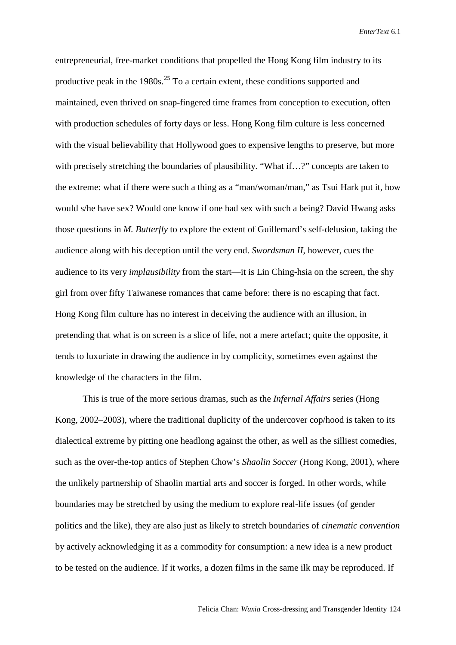entrepreneurial, free-market conditions that propelled the Hong Kong film industry to its productive peak in the 1980s.<sup>[25](#page-20-20)</sup> To a certain extent, these conditions supported and maintained, even thrived on snap-fingered time frames from conception to execution, often with production schedules of forty days or less. Hong Kong film culture is less concerned with the visual believability that Hollywood goes to expensive lengths to preserve, but more with precisely stretching the boundaries of plausibility. "What if...?" concepts are taken to the extreme: what if there were such a thing as a "man/woman/man," as Tsui Hark put it, how would s/he have sex? Would one know if one had sex with such a being? David Hwang asks those questions in *M. Butterfly* to explore the extent of Guillemard's self-delusion, taking the audience along with his deception until the very end. *Swordsman II*, however, cues the audience to its very *implausibility* from the start—it is Lin Ching-hsia on the screen, the shy girl from over fifty Taiwanese romances that came before: there is no escaping that fact. Hong Kong film culture has no interest in deceiving the audience with an illusion, in pretending that what is on screen is a slice of life, not a mere artefact; quite the opposite, it tends to luxuriate in drawing the audience in by complicity, sometimes even against the knowledge of the characters in the film.

This is true of the more serious dramas, such as the *Infernal Affairs* series (Hong Kong, 2002–2003), where the traditional duplicity of the undercover cop/hood is taken to its dialectical extreme by pitting one headlong against the other, as well as the silliest comedies, such as the over-the-top antics of Stephen Chow's *Shaolin Soccer* (Hong Kong, 2001), where the unlikely partnership of Shaolin martial arts and soccer is forged. In other words, while boundaries may be stretched by using the medium to explore real-life issues (of gender politics and the like), they are also just as likely to stretch boundaries of *cinematic convention* by actively acknowledging it as a commodity for consumption: a new idea is a new product to be tested on the audience. If it works, a dozen films in the same ilk may be reproduced. If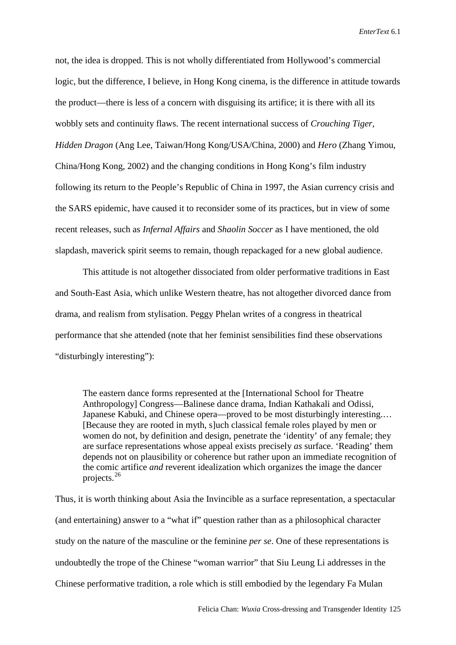not, the idea is dropped. This is not wholly differentiated from Hollywood's commercial logic, but the difference, I believe, in Hong Kong cinema, is the difference in attitude towards the product—there is less of a concern with disguising its artifice; it is there with all its wobbly sets and continuity flaws. The recent international success of *Crouching Tiger, Hidden Dragon* (Ang Lee, Taiwan/Hong Kong/USA/China, 2000) and *Hero* (Zhang Yimou, China/Hong Kong, 2002) and the changing conditions in Hong Kong's film industry following its return to the People's Republic of China in 1997, the Asian currency crisis and the SARS epidemic, have caused it to reconsider some of its practices, but in view of some recent releases, such as *Infernal Affairs* and *Shaolin Soccer* as I have mentioned, the old slapdash, maverick spirit seems to remain, though repackaged for a new global audience.

This attitude is not altogether dissociated from older performative traditions in East and South-East Asia, which unlike Western theatre, has not altogether divorced dance from drama, and realism from stylisation. Peggy Phelan writes of a congress in theatrical performance that she attended (note that her feminist sensibilities find these observations "disturbingly interesting"):

The eastern dance forms represented at the [International School for Theatre Anthropology] Congress—Balinese dance drama, Indian Kathakali and Odissi, Japanese Kabuki, and Chinese opera—proved to be most disturbingly interesting.… [Because they are rooted in myth, s]uch classical female roles played by men or women do not, by definition and design, penetrate the 'identity' of any female; they are surface representations whose appeal exists precisely *as* surface. 'Reading' them depends not on plausibility or coherence but rather upon an immediate recognition of the comic artifice *and* reverent idealization which organizes the image the dancer projects.[26](#page-20-21)

Thus, it is worth thinking about Asia the Invincible as a surface representation, a spectacular (and entertaining) answer to a "what if" question rather than as a philosophical character study on the nature of the masculine or the feminine *per se*. One of these representations is undoubtedly the trope of the Chinese "woman warrior" that Siu Leung Li addresses in the Chinese performative tradition, a role which is still embodied by the legendary Fa Mulan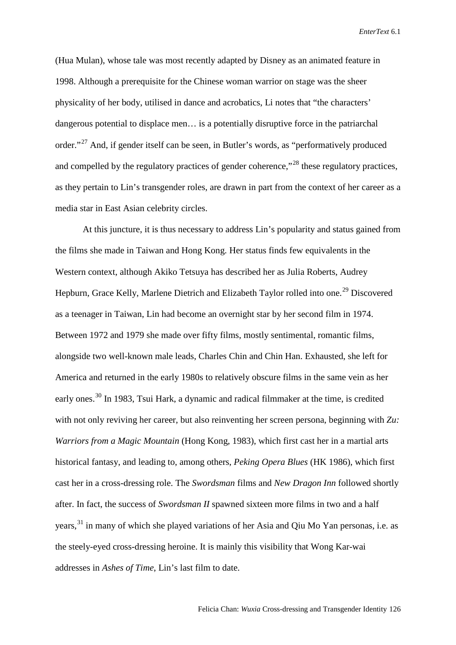(Hua Mulan), whose tale was most recently adapted by Disney as an animated feature in 1998. Although a prerequisite for the Chinese woman warrior on stage was the sheer physicality of her body, utilised in dance and acrobatics, Li notes that "the characters' dangerous potential to displace men… is a potentially disruptive force in the patriarchal order."[27](#page-20-22) And, if gender itself can be seen, in Butler's words, as "performatively produced and compelled by the regulatory practices of gender coherence,<sup>"[28](#page-20-23)</sup> these regulatory practices, as they pertain to Lin's transgender roles, are drawn in part from the context of her career as a media star in East Asian celebrity circles.

At this juncture, it is thus necessary to address Lin's popularity and status gained from the films she made in Taiwan and Hong Kong. Her status finds few equivalents in the Western context, although Akiko Tetsuya has described her as Julia Roberts, Audrey Hepburn, Grace Kelly, Marlene Dietrich and Elizabeth Taylor rolled into one.<sup>[29](#page-20-24)</sup> Discovered as a teenager in Taiwan, Lin had become an overnight star by her second film in 1974. Between 1972 and 1979 she made over fifty films, mostly sentimental, romantic films, alongside two well-known male leads, Charles Chin and Chin Han. Exhausted, she left for America and returned in the early 1980s to relatively obscure films in the same vein as her early ones.<sup>[30](#page-20-25)</sup> In 1983, Tsui Hark, a dynamic and radical filmmaker at the time, is credited with not only reviving her career, but also reinventing her screen persona, beginning with Zu: *Warriors from a Magic Mountain* (Hong Kong, 1983), which first cast her in a martial arts historical fantasy, and leading to, among others, *Peking Opera Blues* (HK 1986), which first cast her in a cross-dressing role. The *Swordsman* films and *New Dragon Inn* followed shortly after. In fact, the success of *Swordsman II* spawned sixteen more films in two and a half years,  $31$  in many of which she played variations of her Asia and Qiu Mo Yan personas, i.e. as the steely-eyed cross-dressing heroine. It is mainly this visibility that Wong Kar-wai addresses in *Ashes of Time*, Lin's last film to date.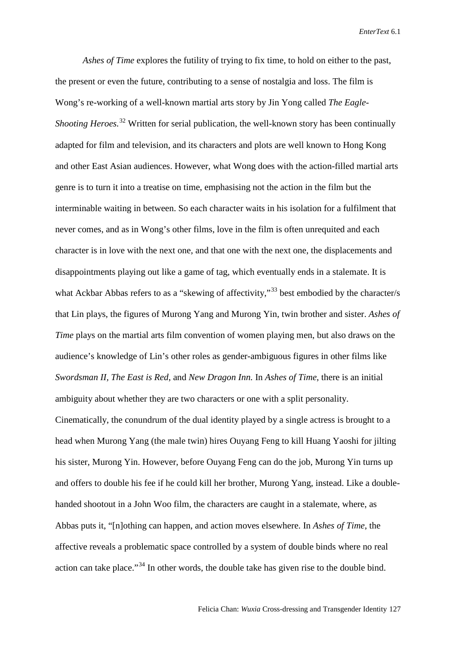*Ashes of Time* explores the futility of trying to fix time, to hold on either to the past, the present or even the future, contributing to a sense of nostalgia and loss. The film is Wong's re-working of a well-known martial arts story by Jin Yong called *The Eagle-Shooting Heroes.*<sup>[32](#page-20-27)</sup> Written for serial publication, the well-known story has been continually adapted for film and television, and its characters and plots are well known to Hong Kong and other East Asian audiences. However, what Wong does with the action-filled martial arts genre is to turn it into a treatise on time, emphasising not the action in the film but the interminable waiting in between. So each character waits in his isolation for a fulfilment that never comes, and as in Wong's other films, love in the film is often unrequited and each character is in love with the next one, and that one with the next one, the displacements and disappointments playing out like a game of tag, which eventually ends in a stalemate. It is what Ackbar Abbas refers to as a "skewing of affectivity,"<sup>[33](#page-20-28)</sup> best embodied by the character/s that Lin plays, the figures of Murong Yang and Murong Yin, twin brother and sister. *Ashes of Time* plays on the martial arts film convention of women playing men, but also draws on the audience's knowledge of Lin's other roles as gender-ambiguous figures in other films like *Swordsman II, The East is Red*, and *New Dragon Inn.* In *Ashes of Time*, there is an initial ambiguity about whether they are two characters or one with a split personality. Cinematically, the conundrum of the dual identity played by a single actress is brought to a head when Murong Yang (the male twin) hires Ouyang Feng to kill Huang Yaoshi for jilting his sister, Murong Yin. However, before Ouyang Feng can do the job, Murong Yin turns up and offers to double his fee if he could kill her brother, Murong Yang, instead. Like a doublehanded shootout in a John Woo film, the characters are caught in a stalemate, where, as Abbas puts it, "[n]othing can happen, and action moves elsewhere. In *Ashes of Time*, the affective reveals a problematic space controlled by a system of double binds where no real action can take place."<sup>[34](#page-20-29)</sup> In other words, the double take has given rise to the double bind.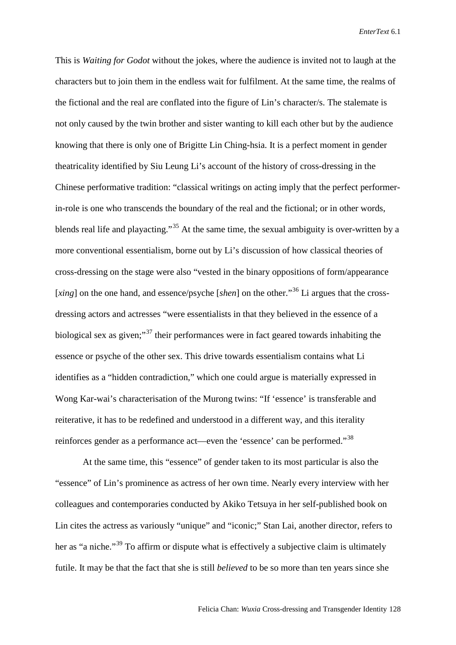This is *Waiting for Godot* without the jokes, where the audience is invited not to laugh at the characters but to join them in the endless wait for fulfilment. At the same time, the realms of the fictional and the real are conflated into the figure of Lin's character/s. The stalemate is not only caused by the twin brother and sister wanting to kill each other but by the audience knowing that there is only one of Brigitte Lin Ching-hsia. It is a perfect moment in gender theatricality identified by Siu Leung Li's account of the history of cross-dressing in the Chinese performative tradition: "classical writings on acting imply that the perfect performerin-role is one who transcends the boundary of the real and the fictional; or in other words, blends real life and playacting."<sup>[35](#page-20-0)</sup> At the same time, the sexual ambiguity is over-written by a more conventional essentialism, borne out by Li's discussion of how classical theories of cross-dressing on the stage were also "vested in the binary oppositions of form/appearance [*xing*] on the one hand, and essence/psyche [*shen*] on the other."<sup>[36](#page-20-1)</sup> Li argues that the crossdressing actors and actresses "were essentialists in that they believed in the essence of a biological sex as given;"<sup>[37](#page-20-30)</sup> their performances were in fact geared towards inhabiting the essence or psyche of the other sex. This drive towards essentialism contains what Li identifies as a "hidden contradiction," which one could argue is materially expressed in Wong Kar-wai's characterisation of the Murong twins: "If 'essence' is transferable and reiterative, it has to be redefined and understood in a different way, and this iterality reinforces gender as a performance act—even the 'essence' can be performed."[38](#page-20-2)

At the same time, this "essence" of gender taken to its most particular is also the "essence" of Lin's prominence as actress of her own time. Nearly every interview with her colleagues and contemporaries conducted by Akiko Tetsuya in her self-published book on Lin cites the actress as variously "unique" and "iconic;" Stan Lai, another director, refers to her as "a niche."<sup>[39](#page-20-3)</sup> To affirm or dispute what is effectively a subjective claim is ultimately futile. It may be that the fact that she is still *believed* to be so more than ten years since she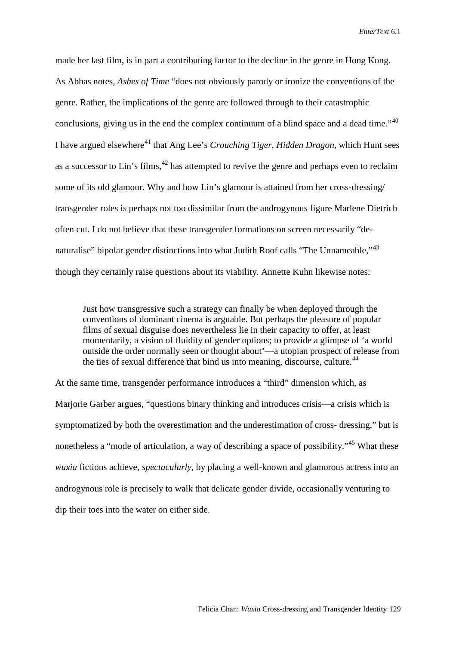<span id="page-18-0"></span>made her last film, is in part a contributing factor to the decline in the genre in Hong Kong. As Abbas notes, *Ashes of Time* "does not obviously parody or ironize the conventions of the genre. Rather, the implications of the genre are followed through to their catastrophic conclusions, giving us in the end the complex continuum of a blind space and a dead time."<sup>[40](#page-20-4)</sup> I have argued elsewhere<sup>[41](#page-20-31)</sup> that Ang Lee's *Crouching Tiger, Hidden Dragon*, which Hunt sees as a successor to Lin's films,  $42$  has attempted to revive the genre and perhaps even to reclaim some of its old glamour. Why and how Lin's glamour is attained from her cross-dressing/ transgender roles is perhaps not too dissimilar from the androgynous figure Marlene Dietrich often cut. I do not believe that these transgender formations on screen necessarily "de-naturalise" bipolar gender distinctions into what Judith Roof calls "The Unnameable,"<sup>[43](#page-20-33)</sup> though they certainly raise questions about its viability. Annette Kuhn likewise notes:

Just how transgressive such a strategy can finally be when deployed through the conventions of dominant cinema is arguable. But perhaps the pleasure of popular films of sexual disguise does nevertheless lie in their capacity to offer, at least momentarily, a vision of fluidity of gender options; to provide a glimpse of 'a world outside the order normally seen or thought about'—a utopian prospect of release from the ties of sexual difference that bind us into meaning, discourse, culture.<sup>[44](#page-20-7)</sup>

At the same time, transgender performance introduces a "third" dimension which, as Marjorie Garber argues, "questions binary thinking and introduces crisis—a crisis which is symptomatized by both the overestimation and the underestimation of cross- dressing," but is nonetheless a "mode of articulation, a way of describing a space of possibility."<sup>[45](#page-20-34)</sup> What these *wuxia* fictions achieve, *spectacularly*, by placing a well-known and glamorous actress into an androgynous role is precisely to walk that delicate gender divide, occasionally venturing to dip their toes into the water on either side.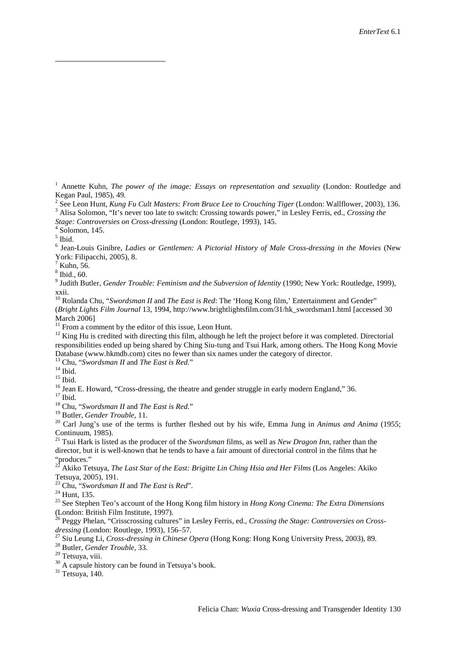<sup>1</sup> Annette Kuhn, *The power of the image: Essays on representation and sexuality* (London: Routledge and Kegan Paul, 1985), 49.<br><sup>2</sup> See Leon Hunt, *Kung Fu Cult Masters: From Bruce Lee to Crouching Tiger* (London: Wallflower, 2003), 136.

<span id="page-19-0"></span><sup>3</sup> Alisa Solomon, "It's never too late to switch: Crossing towards power," in Lesley Ferris, ed., Crossing the

<span id="page-19-2"></span><span id="page-19-1"></span>*Stage: Controversies on Cross-dressing* (London: Routlege, 1993), 145. <sup>4</sup> Solomon, 145.

 $\overline{a}$ 

<sup>6</sup> Jean-Louis Ginibre, *Ladies or Gentlemen: A Pictorial History of Male Cross-dressing in the Movies* (New York: Filipacchi, 2005), 8.

 $^7$  Kuhn, 56.<br><sup>8</sup> Ibid., 60.

<sup>9</sup> Judith Butler, *Gender Trouble: Feminism and the Subversion of Identity* (1990; New York: Routledge, 1999), xxii.

<sup>10</sup> Rolanda Chu, "*Swordsman II* and *The East is Red*: The 'Hong Kong film,' Entertainment and Gender" (*Bright Lights Film Journal* 13, 1994, http://www.brightlightsfilm.com/31/hk\_swordsman1.html [accessed 30 March 2006]<br><sup>11</sup> From a comment by the editor of this issue, Leon Hunt.

 $12$  King Hu is credited with directing this film, although he left the project before it was completed. Directorial responsibilities ended up being shared by Ching Siu-tung and Tsui Hark, among others. The Hong Kong Movie Database (www.hkmdb.com) cites no fewer than six names under the category of director.<br><sup>13</sup> Chu, "Swordsman II and The East is Red."

<sup>14</sup> Ibid.<br><sup>15</sup> Ibid.<br><sup>16</sup> Jean E. Howard, "Cross-dressing, the theatre and gender struggle in early modern England," 36.<br><sup>17</sup> Ibid.<br><sup>18</sup> Chu, "Swordsman II and *The East is Red.*"<br><sup>18</sup> Chu, "Swordsman II and *The East is* Continuum, 1985).

<sup>21</sup> Tsui Hark is listed as the producer of the *Swordsman* films, as well as *New Dragon Inn*, rather than the director, but it is well-known that he tends to have a fair amount of directorial control in the films that he "produces."

<sup>22</sup> Akiko Tetsuya, *The Last Star of the East: Brigitte Lin Ching Hsia and Her Films* (Los Angeles: Akiko Tetsuya, 2005), 191.<br><sup>23</sup> Chu, "Swordsman II and The East is Red".

<sup>24</sup> Hunt, 135.<br><sup>25</sup> See Stephen Teo's account of the Hong Kong film history in *Hong Kong Cinema: The Extra Dimensions* (London: British Film Institute, 1997).

<sup>26</sup> Peggy Phelan, "Crisscrossing cultures" in Lesley Ferris, ed., *Crossing the Stage: Controversies on Crossdressing (London: Routlege, 1993), 156–57.*<br><sup>27</sup> Siu Leung Li, *Cross-dressing in Chinese Opera (Hong Kong: Hong Kong University Press, 2003), 89.*<br><sup>28</sup> Butler, *Gender Trouble*, 33.<br><sup>29</sup> Tetsuya, viii.

 $^{30}$  A capsule history can be found in Tetsuya's book.  $^{31}$  Tetsuya, 140.